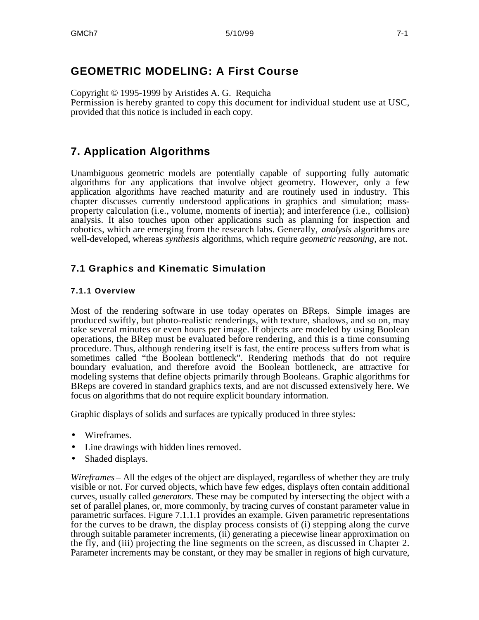## **GEOMETRIC MODELING: A First Course**

Copyright © 1995-1999 by Aristides A. G. Requicha Permission is hereby granted to copy this document for individual student use at USC, provided that this notice is included in each copy.

# **7. Application Algorithms**

Unambiguous geometric models are potentially capable of supporting fully automatic algorithms for any applications that involve object geometry. However, only a few application algorithms have reached maturity and are routinely used in industry. This chapter discusses currently understood applications in graphics and simulation; massproperty calculation (i.e., volume, moments of inertia); and interference (i.e., collision) analysis. It also touches upon other applications such as planning for inspection and robotics, which are emerging from the research labs. Generally, *analysis* algorithms are well-developed, whereas *synthesis* algorithms, which require *geometric reasoning*, are not.

## **7.1 Graphics and Kinematic Simulation**

#### **7.1.1 Overview**

Most of the rendering software in use today operates on BReps. Simple images are produced swiftly, but photo-realistic renderings, with texture, shadows, and so on, may take several minutes or even hours per image. If objects are modeled by using Boolean operations, the BRep must be evaluated before rendering, and this is a time consuming procedure. Thus, although rendering itself is fast, the entire process suffers from what is sometimes called "the Boolean bottleneck". Rendering methods that do not require boundary evaluation, and therefore avoid the Boolean bottleneck, are attractive for modeling systems that define objects primarily through Booleans. Graphic algorithms for BReps are covered in standard graphics texts, and are not discussed extensively here. We focus on algorithms that do not require explicit boundary information.

Graphic displays of solids and surfaces are typically produced in three styles:

- Wireframes.
- Line drawings with hidden lines removed.
- Shaded displays.

*Wireframes* – All the edges of the object are displayed, regardless of whether they are truly visible or not. For curved objects, which have few edges, displays often contain additional curves, usually called *generators*. These may be computed by intersecting the object with a set of parallel planes, or, more commonly, by tracing curves of constant parameter value in parametric surfaces. Figure 7.1.1.1 provides an example. Given parametric representations for the curves to be drawn, the display process consists of (i) stepping along the curve through suitable parameter increments, (ii) generating a piecewise linear approximation on the fly, and (iii) projecting the line segments on the screen, as discussed in Chapter 2. Parameter increments may be constant, or they may be smaller in regions of high curvature,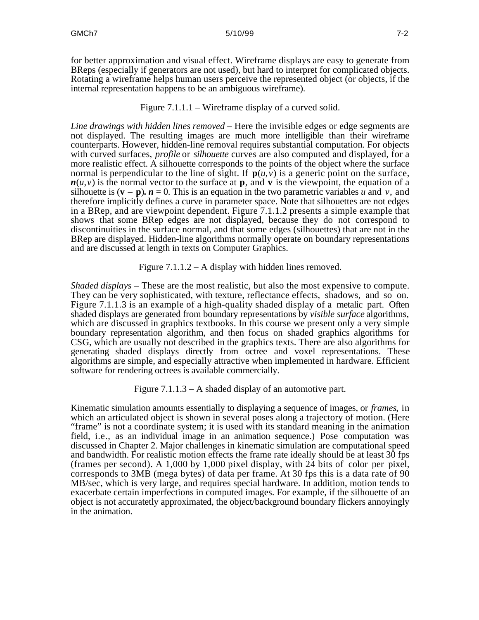for better approximation and visual effect. Wireframe displays are easy to generate from BReps (especially if generators are not used), but hard to interpret for complicated objects. Rotating a wireframe helps human users perceive the represented object (or objects, if the internal representation happens to be an ambiguous wireframe).

#### Figure 7.1.1.1 – Wireframe display of a curved solid.

*Line drawings with hidden lines removed* – Here the invisible edges or edge segments are not displayed. The resulting images are much more intelligible than their wireframe counterparts. However, hidden-line removal requires substantial computation. For objects with curved surfaces, *profile* or *silhouette* curves are also computed and displayed, for a more realistic effect. A silhouette corresponds to the points of the object where the surface normal is perpendicular to the line of sight. If  $p(u, v)$  is a generic point on the surface,  $n(u, v)$  is the normal vector to the surface at **p**, and **v** is the viewpoint, the equation of a silhouette is  $(\mathbf{v} - \mathbf{p})$ *.*  $\mathbf{n} = 0$ . This is an equation in the two parametric variables *u* and *v*, and therefore implicitly defines a curve in parameter space. Note that silhouettes are not edges in a BRep, and are viewpoint dependent. Figure 7.1.1.2 presents a simple example that shows that some BRep edges are not displayed, because they do not correspond to discontinuities in the surface normal, and that some edges (silhouettes) that are not in the BRep are displayed. Hidden-line algorithms normally operate on boundary representations and are discussed at length in texts on Computer Graphics.

Figure 7.1.1.2 – A display with hidden lines removed.

*Shaded displays* – These are the most realistic, but also the most expensive to compute. They can be very sophisticated, with texture, reflectance effects, shadows, and so on. Figure 7.1.1.3 is an example of a high-quality shaded display of a metalic part. Often shaded displays are generated from boundary representations by *visible surface* algorithms, which are discussed in graphics textbooks. In this course we present only a very simple boundary representation algorithm, and then focus on shaded graphics algorithms for CSG, which are usually not described in the graphics texts. There are also algorithms for generating shaded displays directly from octree and voxel representations. These algorithms are simple, and especially attractive when implemented in hardware. Efficient software for rendering octrees is available commercially.

Figure 7.1.1.3 – A shaded display of an automotive part.

Kinematic simulation amounts essentially to displaying a sequence of images, or *frames*, in which an articulated object is shown in several poses along a trajectory of motion. (Here "frame" is not a coordinate system; it is used with its standard meaning in the animation field, i.e., as an individual image in an animation sequence.) Pose computation was discussed in Chapter 2. Major challenges in kinematic simulation are computational speed and bandwidth. For realistic motion effects the frame rate ideally should be at least 30 fps (frames per second). A 1,000 by 1,000 pixel display, with 24 bits of color per pixel, corresponds to 3MB (mega bytes) of data per frame. At 30 fps this is a data rate of 90 MB/sec, which is very large, and requires special hardware. In addition, motion tends to exacerbate certain imperfections in computed images. For example, if the silhouette of an object is not accuratetly approximated, the object/background boundary flickers annoyingly in the animation.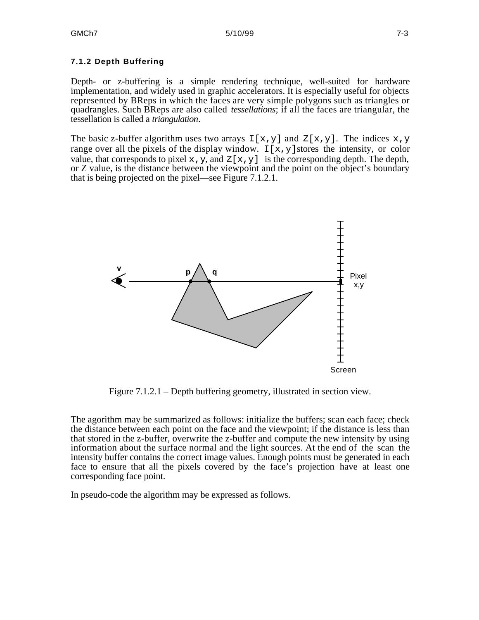#### **7.1.2 Depth Buffering**

Depth- or z-buffering is a simple rendering technique, well-suited for hardware implementation, and widely used in graphic accelerators. It is especially useful for objects represented by BReps in which the faces are very simple polygons such as triangles or quadrangles. Such BReps are also called *tessellations*; if all the faces are triangular, the tessellation is called a *triangulation*.

The basic z-buffer algorithm uses two arrays  $I[x,y]$  and  $Z[x,y]$ . The indices  $x,y$ range over all the pixels of the display window.  $I[x,y]$  stores the intensity, or color value, that corresponds to pixel  $x, y$ , and  $Z[x, y]$  is the corresponding depth. The depth, or Z value, is the distance between the viewpoint and the point on the object's boundary that is being projected on the pixel—see Figure 7.1.2.1.



Figure 7.1.2.1 – Depth buffering geometry, illustrated in section view.

The agorithm may be summarized as follows: initialize the buffers; scan each face; check the distance between each point on the face and the viewpoint; if the distance is less than that stored in the z-buffer, overwrite the z-buffer and compute the new intensity by using information about the surface normal and the light sources. At the end of the scan the intensity buffer contains the correct image values. Enough points must be generated in each face to ensure that all the pixels covered by the face's projection have at least one corresponding face point.

In pseudo-code the algorithm may be expressed as follows.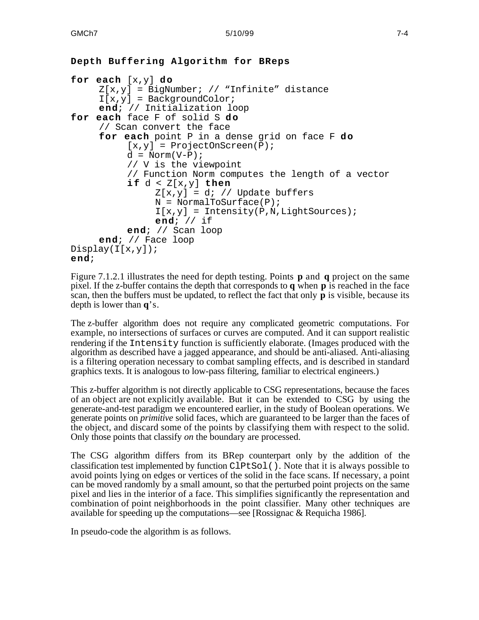```
Depth Buffering Algorithm for BReps
for each [x,y] do
     Z[x,y] = BigNumber; // "Infinite" distance
     I[x,y] = BackgroundColor;
     end; // Initialization loop
for each face F of solid S do
     // Scan convert the face
     for each point P in a dense grid on face F do
          [x,y] = \text{ProjectionScreen}(P);
          d = Norm(V-P);// V is the viewpoint
          // Function Norm computes the length of a vector
          if d < Z[x,y] then
               Z[x,y] = di // Update buffers
               N = NormalToSurface(P);I[x,y] = Intensity(P,N,LiqhtSources);end; // if
          end; // Scan loop
     end; // Face loop
Display(I[x,y]);
end;
```
Figure 7.1.2.1 illustrates the need for depth testing. Points **p** and **q** project on the same pixel. If the z-buffer contains the depth that corresponds to **q** when **p** is reached in the face scan, then the buffers must be updated, to reflect the fact that only **p** is visible, because its depth is lower than **q**'s.

The z-buffer algorithm does not require any complicated geometric computations. For example, no intersections of surfaces or curves are computed. And it can support realistic rendering if the Intensity function is sufficiently elaborate. (Images produced with the algorithm as described have a jagged appearance, and should be anti-aliased. Anti-aliasing is a filtering operation necessary to combat sampling effects, and is described in standard graphics texts. It is analogous to low-pass filtering, familiar to electrical engineers.)

This z-buffer algorithm is not directly applicable to CSG representations, because the faces of an object are not explicitly available. But it can be extended to CSG by using the generate-and-test paradigm we encountered earlier, in the study of Boolean operations. We generate points on *primitive* solid faces, which are guaranteed to be larger than the faces of the object, and discard some of the points by classifying them with respect to the solid. Only those points that classify *on* the boundary are processed.

The CSG algorithm differs from its BRep counterpart only by the addition of the classification test implemented by function ClPtSol(). Note that it is always possible to avoid points lying on edges or vertices of the solid in the face scans. If necessary, a point can be moved randomly by a small amount, so that the perturbed point projects on the same pixel and lies in the interior of a face. This simplifies significantly the representation and combination of point neighborhoods in the point classifier. Many other techniques are available for speeding up the computations—see [Rossignac & Requicha 1986].

In pseudo-code the algorithm is as follows.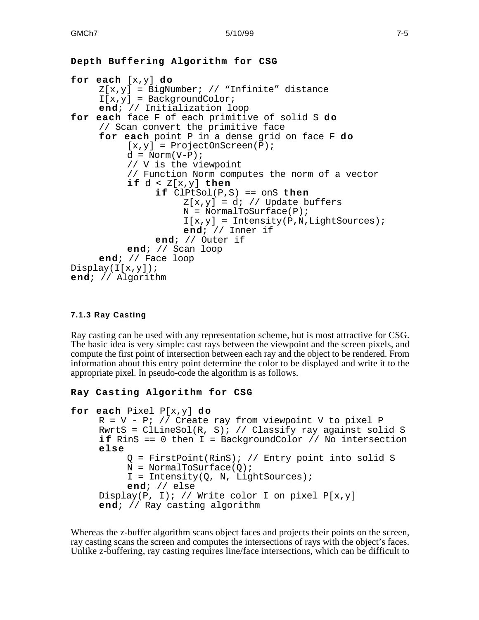```
Depth Buffering Algorithm for CSG
for each [x,y] do
     Z[x,y] = BigNumber; // "Infinite" distance
     I[x,y] = BackgroundColor;
     end; // Initialization loop
for each face F of each primitive of solid S do
     // Scan convert the primitive face
     for each point P in a dense grid on face F do
          [x,y] = \text{ProjectionScreen}(P);d = \text{Norm}(V-P);
          // V is the viewpoint
          // Function Norm computes the norm of a vector
          if d < Z[x,y] then
               if ClPtSol(P,S) == onS then
                    Z[x,y] = di // Update buffers
                    N = NormalToSurface(P);I[x,y] = Intensity(P,N,LiqhtSource);end; // Inner if
               end; // Outer if
          end; // Scan loop
     end; // Face loop
Display(I[x,y]);end; // Algorithm
```
#### **7.1.3 Ray Casting**

Ray casting can be used with any representation scheme, but is most attractive for CSG. The basic idea is very simple: cast rays between the viewpoint and the screen pixels, and compute the first point of intersection between each ray and the object to be rendered. From information about this entry point determine the color to be displayed and write it to the appropriate pixel. In pseudo-code the algorithm is as follows.

#### **Ray Casting Algorithm for CSG**

```
for each Pixel P[x,y] do
    R = V - P; // Create ray from viewpoint V to pixel P
     RwrtS = ClLineSol(R, S); // Classify ray against solid S
     i f RinS == 0 then I = BackgroundColor // No intersection
     else
          Q = FirstPoint(RinS); // Entry point into solid S
          N = NormalToSurface(0);I = Intensity(Q, N, Light Sources);end; // else
     Display(P, I); // Write color I on pixel P[x,y]end; // Ray casting algorithm
```
Whereas the z-buffer algorithm scans object faces and projects their points on the screen, ray casting scans the screen and computes the intersections of rays with the object's faces. Unlike z-buffering, ray casting requires line/face intersections, which can be difficult to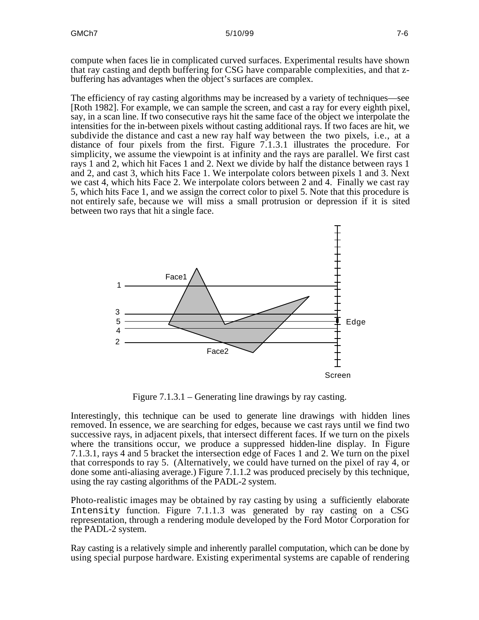compute when faces lie in complicated curved surfaces. Experimental results have shown that ray casting and depth buffering for CSG have comparable complexities, and that zbuffering has advantages when the object's surfaces are complex.

The efficiency of ray casting algorithms may be increased by a variety of techniques—see [Roth 1982]. For example, we can sample the screen, and cast a ray for every eighth pixel, say, in a scan line. If two consecutive rays hit the same face of the object we interpolate the intensities for the in-between pixels without casting additional rays. If two faces are hit, we subdivide the distance and cast a new ray half way between the two pixels, i.e., at a distance of four pixels from the first. Figure 7.1.3.1 illustrates the procedure. For simplicity, we assume the viewpoint is at infinity and the rays are parallel. We first cast rays 1 and 2, which hit Faces 1 and 2. Next we divide by half the distance between rays 1 and 2, and cast 3, which hits Face 1. We interpolate colors between pixels 1 and 3. Next we cast 4, which hits Face 2. We interpolate colors between 2 and 4. Finally we cast ray 5, which hits Face 1, and we assign the correct color to pixel 5. Note that this procedure is not entirely safe, because we will miss a small protrusion or depression if it is sited between two rays that hit a single face.



Figure 7.1.3.1 – Generating line drawings by ray casting.

Interestingly, this technique can be used to generate line drawings with hidden lines removed. In essence, we are searching for edges, because we cast rays until we find two successive rays, in adjacent pixels, that intersect different faces. If we turn on the pixels where the transitions occur, we produce a suppressed hidden-line display. In Figure 7.1.3.1, rays 4 and 5 bracket the intersection edge of Faces 1 and 2. We turn on the pixel that corresponds to ray 5. (Alternatively, we could have turned on the pixel of ray 4, or done some anti-aliasing average.) Figure 7.1.1.2 was produced precisely by this technique, using the ray casting algorithms of the PADL-2 system.

Photo-realistic images may be obtained by ray casting by using a sufficiently elaborate Intensity function. Figure 7.1.1.3 was generated by ray casting on a CSG representation, through a rendering module developed by the Ford Motor Corporation for the PADL-2 system.

Ray casting is a relatively simple and inherently parallel computation, which can be done by using special purpose hardware. Existing experimental systems are capable of rendering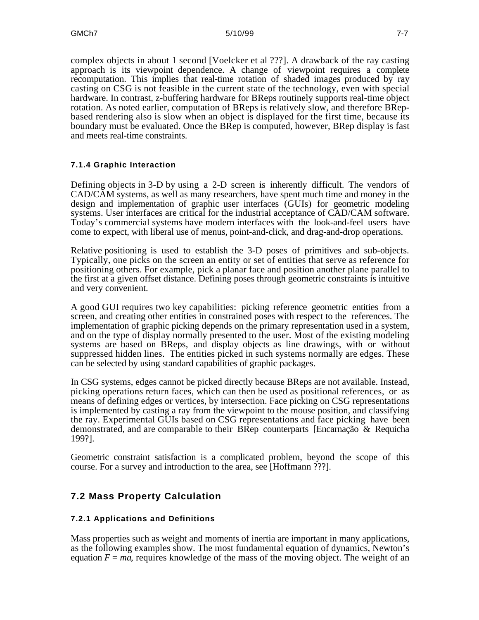complex objects in about 1 second [Voelcker et al ???]. A drawback of the ray casting approach is its viewpoint dependence. A change of viewpoint requires a complete recomputation. This implies that real-time rotation of shaded images produced by ray casting on CSG is not feasible in the current state of the technology, even with special hardware. In contrast, z-buffering hardware for BReps routinely supports real-time object rotation. As noted earlier, computation of BReps is relatively slow, and therefore BRepbased rendering also is slow when an object is displayed for the first time, because its boundary must be evaluated. Once the BRep is computed, however, BRep display is fast and meets real-time constraints.

#### **7.1.4 Graphic Interaction**

Defining objects in 3-D by using a 2-D screen is inherently difficult. The vendors of CAD/CAM systems, as well as many researchers, have spent much time and money in the design and implementation of graphic user interfaces (GUIs) for geometric modeling systems. User interfaces are critical for the industrial acceptance of CAD/CAM software. Today's commercial systems have modern interfaces with the look-and-feel users have come to expect, with liberal use of menus, point-and-click, and drag-and-drop operations.

Relative positioning is used to establish the 3-D poses of primitives and sub-objects. Typically, one picks on the screen an entity or set of entities that serve as reference for positioning others. For example, pick a planar face and position another plane parallel to the first at a given offset distance. Defining poses through geometric constraints is intuitive and very convenient.

A good GUI requires two key capabilities: picking reference geometric entities from a screen, and creating other entities in constrained poses with respect to the references. The implementation of graphic picking depends on the primary representation used in a system, and on the type of display normally presented to the user. Most of the existing modeling systems are based on BReps, and display objects as line drawings, with or without suppressed hidden lines. The entities picked in such systems normally are edges. These can be selected by using standard capabilities of graphic packages.

In CSG systems, edges cannot be picked directly because BReps are not available. Instead, picking operations return faces, which can then be used as positional references, or as means of defining edges or vertices, by intersection. Face picking on CSG representations is implemented by casting a ray from the viewpoint to the mouse position, and classifying the ray. Experimental GUIs based on CSG representations and face picking have been demonstrated, and are comparable to their BRep counterparts [Encarnação & Requicha 199?].

Geometric constraint satisfaction is a complicated problem, beyond the scope of this course. For a survey and introduction to the area, see [Hoffmann ???].

### **7.2 Mass Property Calculation**

#### **7.2.1 Applications and Definitions**

Mass properties such as weight and moments of inertia are important in many applications, as the following examples show. The most fundamental equation of dynamics, Newton's equation  $F = ma$ , requires knowledge of the mass of the moving object. The weight of an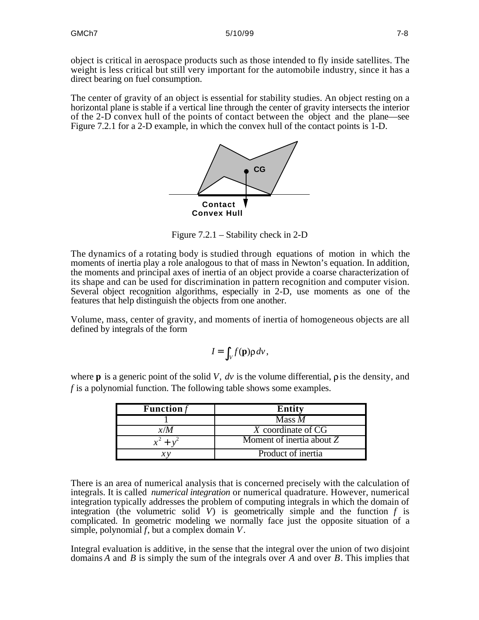object is critical in aerospace products such as those intended to fly inside satellites. The weight is less critical but still very important for the automobile industry, since it has a direct bearing on fuel consumption.

The center of gravity of an object is essential for stability studies. An object resting on a horizontal plane is stable if a vertical line through the center of gravity intersects the interior of the 2-D convex hull of the points of contact between the object and the plane—see Figure 7.2.1 for a 2-D example, in which the convex hull of the contact points is 1-D.



Figure 7.2.1 – Stability check in 2-D

The dynamics of a rotating body is studied through equations of motion in which the moments of inertia play a role analogous to that of mass in Newton's equation. In addition, the moments and principal axes of inertia of an object provide a coarse characterization of its shape and can be used for discrimination in pattern recognition and computer vision. Several object recognition algorithms, especially in 2-D, use moments as one of the features that help distinguish the objects from one another.

Volume, mass, center of gravity, and moments of inertia of homogeneous objects are all defined by integrals of the form

$$
I = \int_{V} f(\mathbf{p}) \rho \, dv
$$

where **p** is a generic point of the solid *V*,  $dv$  is the volume differential,  $\rho$  is the density, and *f* is a polynomial function. The following table shows some examples.

| <b>Function</b> $f$ | <b>Entity</b>             |
|---------------------|---------------------------|
|                     | Mass $M$                  |
| x/M                 | X coordinate of CG        |
|                     | Moment of inertia about Z |
|                     | Product of inertia        |

There is an area of numerical analysis that is concerned precisely with the calculation of integrals. It is called *numerical integration* or numerical quadrature. However, numerical integration typically addresses the problem of computing integrals in which the domain of integration (the volumetric solid  $V$ ) is geometrically simple and the function  $f$  is complicated. In geometric modeling we normally face just the opposite situation of a simple, polynomial *f*, but a complex domain *V .*

Integral evaluation is additive, in the sense that the integral over the union of two disjoint domains *A* and *B* is simply the sum of the integrals over *A* and over *B*. This implies that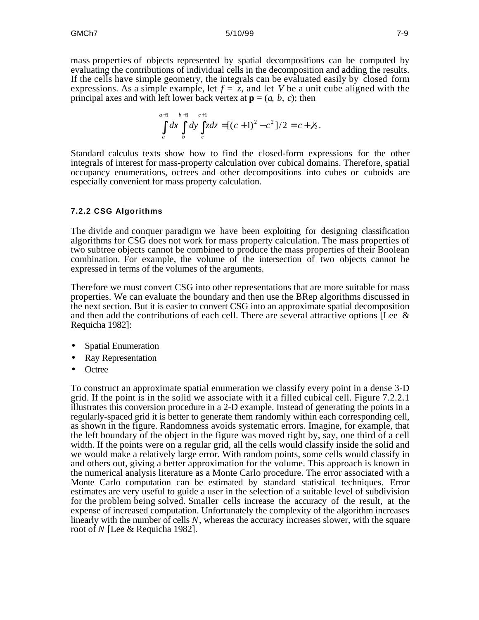mass properties of objects represented by spatial decompositions can be computed by evaluating the contributions of individual cells in the decomposition and adding the results. If the cells have simple geometry, the integrals can be evaluated easily by closed form expressions. As a simple example, let  $f = z$ , and let *V* be a unit cube aligned with the principal axes and with left lower back vertex at  $\mathbf{p} = (a, b, c)$ ; then

$$
\int_{a}^{a+1} \int_{b}^{b+1} \int_{c}^{c+1} c + 1 \int_{c}^{a} = [(c+1)^{2} - c^{2}] / 2 = c + \frac{1}{2}.
$$

Standard calculus texts show how to find the closed-form expressions for the other integrals of interest for mass-property calculation over cubical domains. Therefore, spatial occupancy enumerations, octrees and other decompositions into cubes or cuboids are especially convenient for mass property calculation.

#### **7.2.2 CSG Algorithms**

The divide and conquer paradigm we have been exploiting for designing classification algorithms for CSG does not work for mass property calculation. The mass properties of two subtree objects cannot be combined to produce the mass properties of their Boolean combination. For example, the volume of the intersection of two objects cannot be expressed in terms of the volumes of the arguments.

Therefore we must convert CSG into other representations that are more suitable for mass properties. We can evaluate the boundary and then use the BRep algorithms discussed in the next section. But it is easier to convert CSG into an approximate spatial decomposition and then add the contributions of each cell. There are several attractive options [Lee  $\&$ Requicha 1982]:

- Spatial Enumeration
- Ray Representation
- Octree

To construct an approximate spatial enumeration we classify every point in a dense 3-D grid. If the point is in the solid we associate with it a filled cubical cell. Figure 7.2.2.1 illustrates this conversion procedure in a 2-D example. Instead of generating the points in a regularly-spaced grid it is better to generate them randomly within each corresponding cell, as shown in the figure. Randomness avoids systematic errors. Imagine, for example, that the left boundary of the object in the figure was moved right by, say, one third of a cell width. If the points were on a regular grid, all the cells would classify inside the solid and we would make a relatively large error. With random points, some cells would classify in and others out, giving a better approximation for the volume. This approach is known in the numerical analysis literature as a Monte Carlo procedure. The error associated with a Monte Carlo computation can be estimated by standard statistical techniques. Error estimates are very useful to guide a user in the selection of a suitable level of subdivision for the problem being solved. Smaller cells increase the accuracy of the result, at the expense of increased computation. Unfortunately the complexity of the algorithm increases linearly with the number of cells *N*, whereas the accuracy increases slower, with the square root of *N* [Lee & Requicha 1982].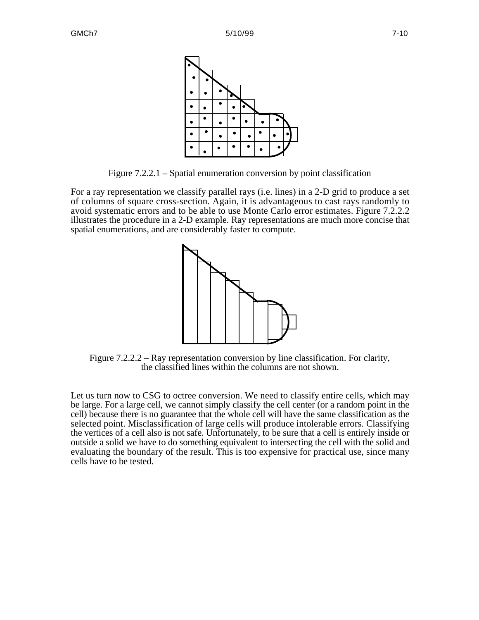

Figure 7.2.2.1 – Spatial enumeration conversion by point classification

For a ray representation we classify parallel rays (i.e. lines) in a 2-D grid to produce a set of columns of square cross-section. Again, it is advantageous to cast rays randomly to avoid systematic errors and to be able to use Monte Carlo error estimates. Figure 7.2.2.2 illustrates the procedure in a 2-D example. Ray representations are much more concise that spatial enumerations, and are considerably faster to compute.



Figure 7.2.2.2 – Ray representation conversion by line classification. For clarity, the classified lines within the columns are not shown.

Let us turn now to CSG to octree conversion. We need to classify entire cells, which may be large. For a large cell, we cannot simply classify the cell center (or a random point in the cell) because there is no guarantee that the whole cell will have the same classification as the selected point. Misclassification of large cells will produce intolerable errors. Classifying the vertices of a cell also is not safe. Unfortunately, to be sure that a cell is entirely inside or outside a solid we have to do something equivalent to intersecting the cell with the solid and evaluating the boundary of the result. This is too expensive for practical use, since many cells have to be tested.